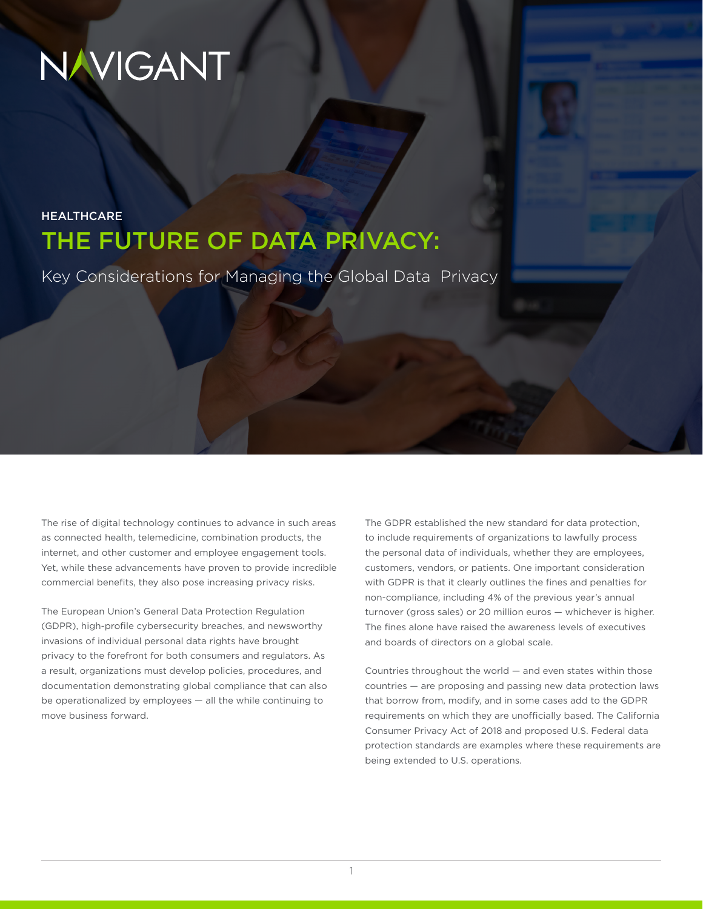# **NAVIGANT**

## **HEALTHCARE** THE FUTURE OF DATA PRIVACY:

Key Considerations for Managing the Global Data Privacy

The rise of digital technology continues to advance in such areas as connected health, telemedicine, combination products, the internet, and other customer and employee engagement tools. Yet, while these advancements have proven to provide incredible commercial benefits, they also pose increasing privacy risks.

The European Union's General Data Protection Regulation (GDPR), high-profile cybersecurity breaches, and newsworthy invasions of individual personal data rights have brought privacy to the forefront for both consumers and regulators. As a result, organizations must develop policies, procedures, and documentation demonstrating global compliance that can also be operationalized by employees — all the while continuing to move business forward.

The GDPR established the new standard for data protection, to include requirements of organizations to lawfully process the personal data of individuals, whether they are employees, customers, vendors, or patients. One important consideration with GDPR is that it clearly outlines the fines and penalties for non-compliance, including 4% of the previous year's annual turnover (gross sales) or 20 million euros — whichever is higher. The fines alone have raised the awareness levels of executives and boards of directors on a global scale.

Countries throughout the world — and even states within those countries — are proposing and passing new data protection laws that borrow from, modify, and in some cases add to the GDPR requirements on which they are unofficially based. The California Consumer Privacy Act of 2018 and proposed U.S. Federal data protection standards are examples where these requirements are being extended to U.S. operations.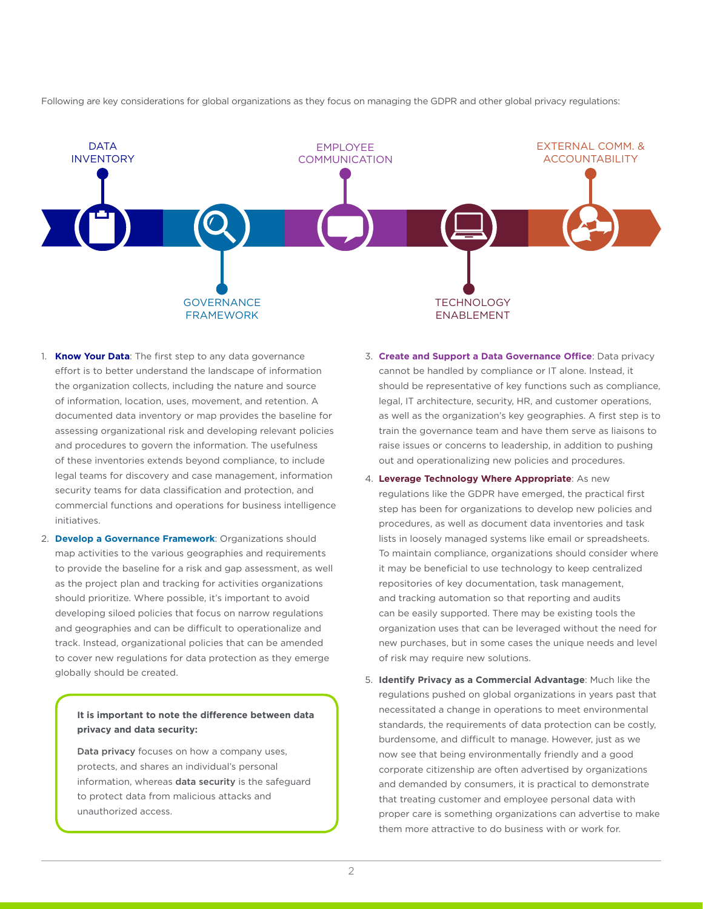Following are key considerations for global organizations as they focus on managing the GDPR and other global privacy regulations:



- 1. **Know Your Data**: The first step to any data governance effort is to better understand the landscape of information the organization collects, including the nature and source of information, location, uses, movement, and retention. A documented data inventory or map provides the baseline for assessing organizational risk and developing relevant policies and procedures to govern the information. The usefulness of these inventories extends beyond compliance, to include legal teams for discovery and case management, information security teams for data classification and protection, and commercial functions and operations for business intelligence initiatives.
- 2. **Develop a Governance Framework**: Organizations should map activities to the various geographies and requirements to provide the baseline for a risk and gap assessment, as well as the project plan and tracking for activities organizations should prioritize. Where possible, it's important to avoid developing siloed policies that focus on narrow regulations and geographies and can be difficult to operationalize and track. Instead, organizational policies that can be amended to cover new regulations for data protection as they emerge globally should be created.

#### **It is important to note the difference between data privacy and data security:**

Data privacy focuses on how a company uses, protects, and shares an individual's personal information, whereas data security is the safeguard to protect data from malicious attacks and unauthorized access.

- 3. **Create and Support a Data Governance Office**: Data privacy cannot be handled by compliance or IT alone. Instead, it should be representative of key functions such as compliance, legal, IT architecture, security, HR, and customer operations, as well as the organization's key geographies. A first step is to train the governance team and have them serve as liaisons to raise issues or concerns to leadership, in addition to pushing out and operationalizing new policies and procedures.
- 4. **Leverage Technology Where Appropriate**: As new regulations like the GDPR have emerged, the practical first step has been for organizations to develop new policies and procedures, as well as document data inventories and task lists in loosely managed systems like email or spreadsheets. To maintain compliance, organizations should consider where it may be beneficial to use technology to keep centralized repositories of key documentation, task management, and tracking automation so that reporting and audits can be easily supported. There may be existing tools the organization uses that can be leveraged without the need for new purchases, but in some cases the unique needs and level of risk may require new solutions.
- 5. **Identify Privacy as a Commercial Advantage**: Much like the regulations pushed on global organizations in years past that necessitated a change in operations to meet environmental standards, the requirements of data protection can be costly, burdensome, and difficult to manage. However, just as we now see that being environmentally friendly and a good corporate citizenship are often advertised by organizations and demanded by consumers, it is practical to demonstrate that treating customer and employee personal data with proper care is something organizations can advertise to make them more attractive to do business with or work for.